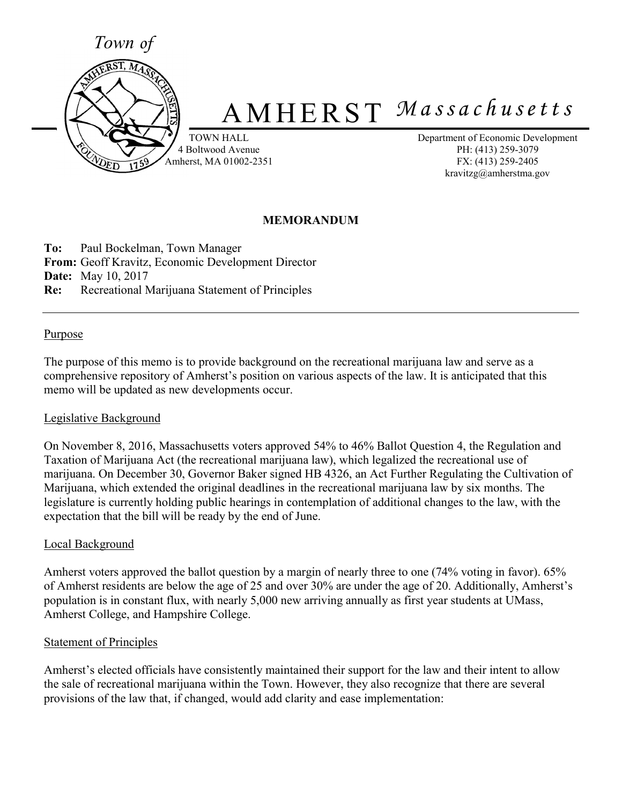

# A M H E R S T *M a s s a c h u s e t t s*

TOWN HALL 4 Boltwood Avenue Amherst, MA 01002-2351 Department of Economic Development PH: (413) 259-3079 FX: (413) 259-2405 kravitzg@amherstma.gov

## **MEMORANDUM**

**To:** Paul Bockelman, Town Manager **From:** Geoff Kravitz, Economic Development Director **Date:** May 10, 2017 **Re:** Recreational Marijuana Statement of Principles

#### Purpose

The purpose of this memo is to provide background on the recreational marijuana law and serve as a comprehensive repository of Amherst's position on various aspects of the law. It is anticipated that this memo will be updated as new developments occur.

#### Legislative Background

On November 8, 2016, Massachusetts voters approved 54% to 46% Ballot Question 4, the Regulation and Taxation of Marijuana Act (the recreational marijuana law), which legalized the recreational use of marijuana. On December 30, Governor Baker signed HB 4326, an Act Further Regulating the Cultivation of Marijuana, which extended the original deadlines in the recreational marijuana law by six months. The legislature is currently holding public hearings in contemplation of additional changes to the law, with the expectation that the bill will be ready by the end of June.

#### Local Background

Amherst voters approved the ballot question by a margin of nearly three to one (74% voting in favor). 65% of Amherst residents are below the age of 25 and over 30% are under the age of 20. Additionally, Amherst's population is in constant flux, with nearly 5,000 new arriving annually as first year students at UMass, Amherst College, and Hampshire College.

#### Statement of Principles

Amherst's elected officials have consistently maintained their support for the law and their intent to allow the sale of recreational marijuana within the Town. However, they also recognize that there are several provisions of the law that, if changed, would add clarity and ease implementation: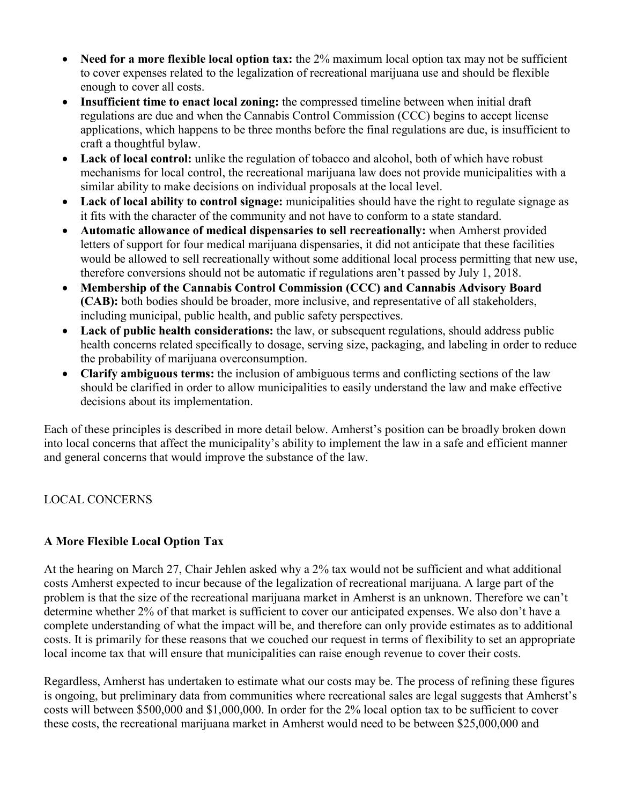- **Need for a more flexible local option tax:** the 2% maximum local option tax may not be sufficient to cover expenses related to the legalization of recreational marijuana use and should be flexible enough to cover all costs.
- **Insufficient time to enact local zoning:** the compressed timeline between when initial draft regulations are due and when the Cannabis Control Commission (CCC) begins to accept license applications, which happens to be three months before the final regulations are due, is insufficient to craft a thoughtful bylaw.
- Lack of local control: unlike the regulation of tobacco and alcohol, both of which have robust mechanisms for local control, the recreational marijuana law does not provide municipalities with a similar ability to make decisions on individual proposals at the local level.
- **Lack of local ability to control signage:** municipalities should have the right to regulate signage as it fits with the character of the community and not have to conform to a state standard.
- **Automatic allowance of medical dispensaries to sell recreationally:** when Amherst provided letters of support for four medical marijuana dispensaries, it did not anticipate that these facilities would be allowed to sell recreationally without some additional local process permitting that new use, therefore conversions should not be automatic if regulations aren't passed by July 1, 2018.
- **Membership of the Cannabis Control Commission (CCC) and Cannabis Advisory Board (CAB):** both bodies should be broader, more inclusive, and representative of all stakeholders, including municipal, public health, and public safety perspectives.
- **Lack of public health considerations:** the law, or subsequent regulations, should address public health concerns related specifically to dosage, serving size, packaging, and labeling in order to reduce the probability of marijuana overconsumption.
- **Clarify ambiguous terms:** the inclusion of ambiguous terms and conflicting sections of the law should be clarified in order to allow municipalities to easily understand the law and make effective decisions about its implementation.

Each of these principles is described in more detail below. Amherst's position can be broadly broken down into local concerns that affect the municipality's ability to implement the law in a safe and efficient manner and general concerns that would improve the substance of the law.

# LOCAL CONCERNS

# **A More Flexible Local Option Tax**

At the hearing on March 27, Chair Jehlen asked why a 2% tax would not be sufficient and what additional costs Amherst expected to incur because of the legalization of recreational marijuana. A large part of the problem is that the size of the recreational marijuana market in Amherst is an unknown. Therefore we can't determine whether 2% of that market is sufficient to cover our anticipated expenses. We also don't have a complete understanding of what the impact will be, and therefore can only provide estimates as to additional costs. It is primarily for these reasons that we couched our request in terms of flexibility to set an appropriate local income tax that will ensure that municipalities can raise enough revenue to cover their costs.

Regardless, Amherst has undertaken to estimate what our costs may be. The process of refining these figures is ongoing, but preliminary data from communities where recreational sales are legal suggests that Amherst's costs will between \$500,000 and \$1,000,000. In order for the 2% local option tax to be sufficient to cover these costs, the recreational marijuana market in Amherst would need to be between \$25,000,000 and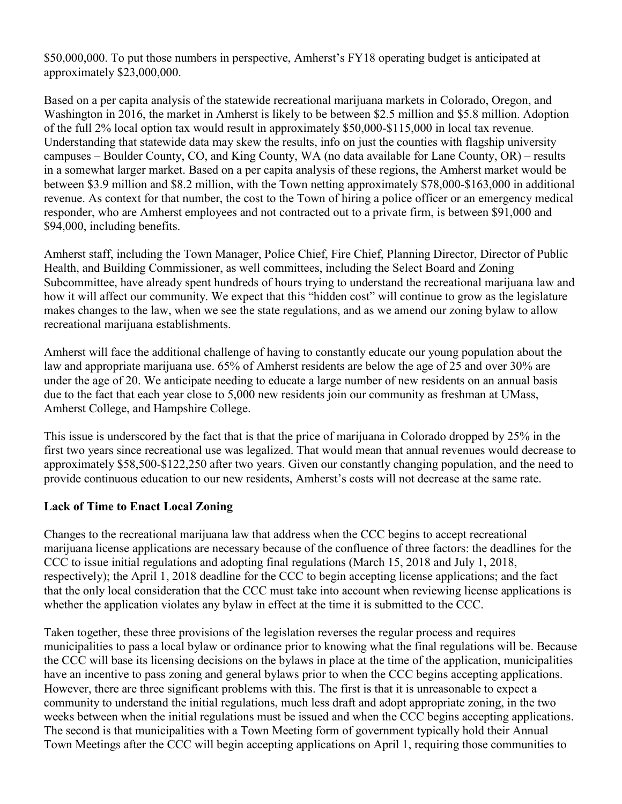\$50,000,000. To put those numbers in perspective, Amherst's FY18 operating budget is anticipated at approximately \$23,000,000.

Based on a per capita analysis of the statewide recreational marijuana markets in Colorado, Oregon, and Washington in 2016, the market in Amherst is likely to be between \$2.5 million and \$5.8 million. Adoption of the full 2% local option tax would result in approximately \$50,000-\$115,000 in local tax revenue. Understanding that statewide data may skew the results, info on just the counties with flagship university campuses – Boulder County, CO, and King County, WA (no data available for Lane County, OR) – results in a somewhat larger market. Based on a per capita analysis of these regions, the Amherst market would be between \$3.9 million and \$8.2 million, with the Town netting approximately \$78,000-\$163,000 in additional revenue. As context for that number, the cost to the Town of hiring a police officer or an emergency medical responder, who are Amherst employees and not contracted out to a private firm, is between \$91,000 and \$94,000, including benefits.

Amherst staff, including the Town Manager, Police Chief, Fire Chief, Planning Director, Director of Public Health, and Building Commissioner, as well committees, including the Select Board and Zoning Subcommittee, have already spent hundreds of hours trying to understand the recreational marijuana law and how it will affect our community. We expect that this "hidden cost" will continue to grow as the legislature makes changes to the law, when we see the state regulations, and as we amend our zoning bylaw to allow recreational marijuana establishments.

Amherst will face the additional challenge of having to constantly educate our young population about the law and appropriate marijuana use. 65% of Amherst residents are below the age of 25 and over 30% are under the age of 20. We anticipate needing to educate a large number of new residents on an annual basis due to the fact that each year close to 5,000 new residents join our community as freshman at UMass, Amherst College, and Hampshire College.

This issue is underscored by the fact that is that the price of marijuana in Colorado dropped by 25% in the first two years since recreational use was legalized. That would mean that annual revenues would decrease to approximately \$58,500-\$122,250 after two years. Given our constantly changing population, and the need to provide continuous education to our new residents, Amherst's costs will not decrease at the same rate.

#### **Lack of Time to Enact Local Zoning**

Changes to the recreational marijuana law that address when the CCC begins to accept recreational marijuana license applications are necessary because of the confluence of three factors: the deadlines for the CCC to issue initial regulations and adopting final regulations (March 15, 2018 and July 1, 2018, respectively); the April 1, 2018 deadline for the CCC to begin accepting license applications; and the fact that the only local consideration that the CCC must take into account when reviewing license applications is whether the application violates any bylaw in effect at the time it is submitted to the CCC.

Taken together, these three provisions of the legislation reverses the regular process and requires municipalities to pass a local bylaw or ordinance prior to knowing what the final regulations will be. Because the CCC will base its licensing decisions on the bylaws in place at the time of the application, municipalities have an incentive to pass zoning and general bylaws prior to when the CCC begins accepting applications. However, there are three significant problems with this. The first is that it is unreasonable to expect a community to understand the initial regulations, much less draft and adopt appropriate zoning, in the two weeks between when the initial regulations must be issued and when the CCC begins accepting applications. The second is that municipalities with a Town Meeting form of government typically hold their Annual Town Meetings after the CCC will begin accepting applications on April 1, requiring those communities to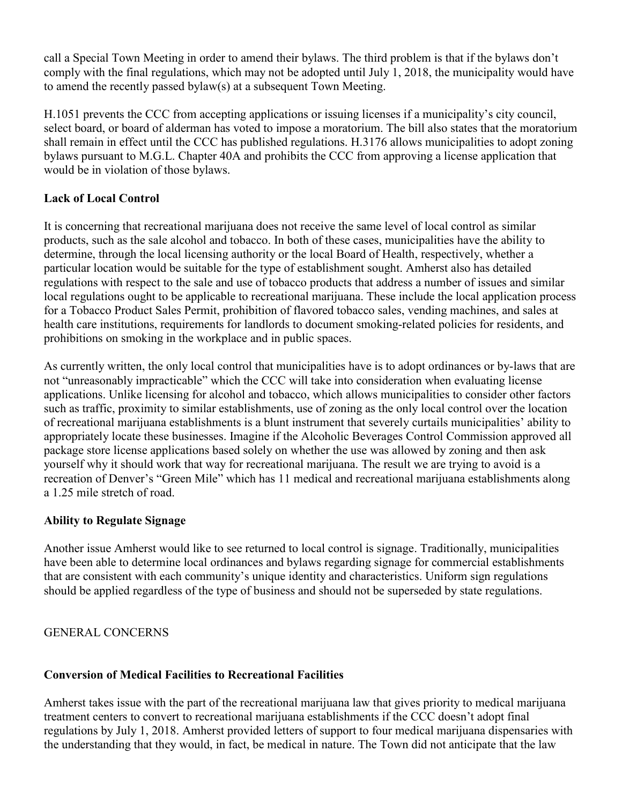call a Special Town Meeting in order to amend their bylaws. The third problem is that if the bylaws don't comply with the final regulations, which may not be adopted until July 1, 2018, the municipality would have to amend the recently passed bylaw(s) at a subsequent Town Meeting.

H.1051 prevents the CCC from accepting applications or issuing licenses if a municipality's city council, select board, or board of alderman has voted to impose a moratorium. The bill also states that the moratorium shall remain in effect until the CCC has published regulations. H.3176 allows municipalities to adopt zoning bylaws pursuant to M.G.L. Chapter 40A and prohibits the CCC from approving a license application that would be in violation of those bylaws.

## **Lack of Local Control**

It is concerning that recreational marijuana does not receive the same level of local control as similar products, such as the sale alcohol and tobacco. In both of these cases, municipalities have the ability to determine, through the local licensing authority or the local Board of Health, respectively, whether a particular location would be suitable for the type of establishment sought. Amherst also has detailed regulations with respect to the sale and use of tobacco products that address a number of issues and similar local regulations ought to be applicable to recreational marijuana. These include the local application process for a Tobacco Product Sales Permit, prohibition of flavored tobacco sales, vending machines, and sales at health care institutions, requirements for landlords to document smoking-related policies for residents, and prohibitions on smoking in the workplace and in public spaces.

As currently written, the only local control that municipalities have is to adopt ordinances or by-laws that are not "unreasonably impracticable" which the CCC will take into consideration when evaluating license applications. Unlike licensing for alcohol and tobacco, which allows municipalities to consider other factors such as traffic, proximity to similar establishments, use of zoning as the only local control over the location of recreational marijuana establishments is a blunt instrument that severely curtails municipalities' ability to appropriately locate these businesses. Imagine if the Alcoholic Beverages Control Commission approved all package store license applications based solely on whether the use was allowed by zoning and then ask yourself why it should work that way for recreational marijuana. The result we are trying to avoid is a recreation of Denver's "Green Mile" which has 11 medical and recreational marijuana establishments along a 1.25 mile stretch of road.

#### **Ability to Regulate Signage**

Another issue Amherst would like to see returned to local control is signage. Traditionally, municipalities have been able to determine local ordinances and bylaws regarding signage for commercial establishments that are consistent with each community's unique identity and characteristics. Uniform sign regulations should be applied regardless of the type of business and should not be superseded by state regulations.

GENERAL CONCERNS

#### **Conversion of Medical Facilities to Recreational Facilities**

Amherst takes issue with the part of the recreational marijuana law that gives priority to medical marijuana treatment centers to convert to recreational marijuana establishments if the CCC doesn't adopt final regulations by July 1, 2018. Amherst provided letters of support to four medical marijuana dispensaries with the understanding that they would, in fact, be medical in nature. The Town did not anticipate that the law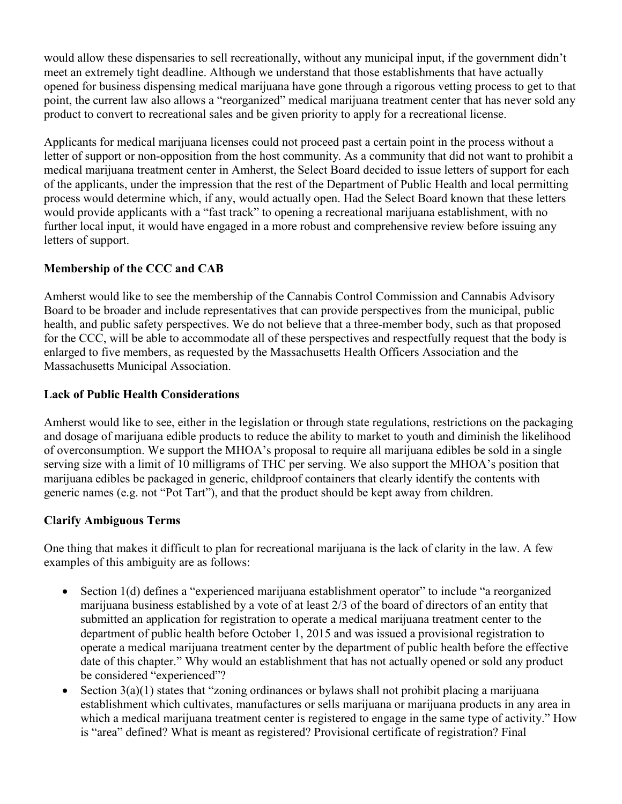would allow these dispensaries to sell recreationally, without any municipal input, if the government didn't meet an extremely tight deadline. Although we understand that those establishments that have actually opened for business dispensing medical marijuana have gone through a rigorous vetting process to get to that point, the current law also allows a "reorganized" medical marijuana treatment center that has never sold any product to convert to recreational sales and be given priority to apply for a recreational license.

Applicants for medical marijuana licenses could not proceed past a certain point in the process without a letter of support or non-opposition from the host community. As a community that did not want to prohibit a medical marijuana treatment center in Amherst, the Select Board decided to issue letters of support for each of the applicants, under the impression that the rest of the Department of Public Health and local permitting process would determine which, if any, would actually open. Had the Select Board known that these letters would provide applicants with a "fast track" to opening a recreational marijuana establishment, with no further local input, it would have engaged in a more robust and comprehensive review before issuing any letters of support.

# **Membership of the CCC and CAB**

Amherst would like to see the membership of the Cannabis Control Commission and Cannabis Advisory Board to be broader and include representatives that can provide perspectives from the municipal, public health, and public safety perspectives. We do not believe that a three-member body, such as that proposed for the CCC, will be able to accommodate all of these perspectives and respectfully request that the body is enlarged to five members, as requested by the Massachusetts Health Officers Association and the Massachusetts Municipal Association.

#### **Lack of Public Health Considerations**

Amherst would like to see, either in the legislation or through state regulations, restrictions on the packaging and dosage of marijuana edible products to reduce the ability to market to youth and diminish the likelihood of overconsumption. We support the MHOA's proposal to require all marijuana edibles be sold in a single serving size with a limit of 10 milligrams of THC per serving. We also support the MHOA's position that marijuana edibles be packaged in generic, childproof containers that clearly identify the contents with generic names (e.g. not "Pot Tart"), and that the product should be kept away from children.

#### **Clarify Ambiguous Terms**

One thing that makes it difficult to plan for recreational marijuana is the lack of clarity in the law. A few examples of this ambiguity are as follows:

- Section 1(d) defines a "experienced marijuana establishment operator" to include "a reorganized marijuana business established by a vote of at least 2/3 of the board of directors of an entity that submitted an application for registration to operate a medical marijuana treatment center to the department of public health before October 1, 2015 and was issued a provisional registration to operate a medical marijuana treatment center by the department of public health before the effective date of this chapter." Why would an establishment that has not actually opened or sold any product be considered "experienced"?
- Section  $3(a)(1)$  states that "zoning ordinances or bylaws shall not prohibit placing a marijuana establishment which cultivates, manufactures or sells marijuana or marijuana products in any area in which a medical marijuana treatment center is registered to engage in the same type of activity." How is "area" defined? What is meant as registered? Provisional certificate of registration? Final